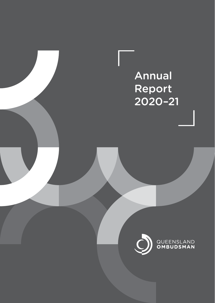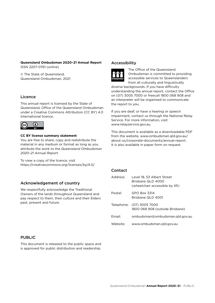**Queensland Ombudsman 2020–21 Annual Report** ISSN 2207-0761 (online)

© The State of Queensland, Queensland Ombudsman, 2021

## Licence

This annual report is licensed by the State of Queensland, Office of the Queensland Ombudsman under a Creative Commons Attribution (CC BY) 4.0 International licence.



#### **CC BY license summary statement**

You are free to share, copy and redistribute the material in any medium or format as long as you attribute the work to the *Queensland Ombudsman 2020–21 Annual Report*.

To view a copy of the licence, visit <https://creativecommons.org/licenses/by/4.0/>

### Acknowledgement of country

We respectfully acknowledge the Traditional Owners of the lands throughout Queensland and pay respect to them, their culture and their Elders past, present and future.

#### Accessibility



The Office of the Queensland Ombudsman is committed to providing accessible services to Queenslanders from all culturally and linguistically

diverse backgrounds. If you have difficulty understanding the annual report, contact the Office on (07) 3005 7000 or freecall 1800 068 908 and an interpreter will be organised to communicate the report to you.

If you are deaf, or have a hearing or speech impairment, contact us through the National Relay Service. For more information, visit: www.relayservice.gov.au.

This document is available as a downloadable PDF from the website, www.ombudsman.qld.gov.au/ about-us/corporate-documents/annual-report. It is also available in paper form on request.

#### Contact

| Address: | Level 18, 53 Albert Street<br>Brisbane QLD 4000<br>(wheelchair accessible by lift) |
|----------|------------------------------------------------------------------------------------|
| Postal:  | GPO Box 3314<br>Brisbane QLD 4001                                                  |
|          | Telephone: (07) 3005 7000<br>1800 068 908 (outside Brisbane)                       |
| Fmail:   | ombudsman@ombudsman.gld.gov.au                                                     |
| Website: | www.ombudsman.gld.gov.au                                                           |

#### PUBLIC

This document is released to the public space and is approved for public distribution and readership.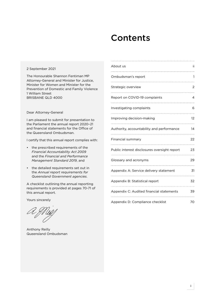## **Contents**

#### 2 September 2021

The Honourable Shannon Fentiman MP Attorney-General and Minister for Justice, Minister for Women and Minister for the Prevention of Domestic and Family Violence 1 William Street BRISBANE QLD 4000

#### Dear Attorney-General

I am pleased to submit for presentation to the Parliament the annual report 2020–21 and financial statements for the Office of the Queensland Ombudsman.

I certify that this annual report complies with:

- the prescribed requirements of the *Financial Accountability Act 2009* and the *Financial and Performance Management Standard 2019*, and
- the detailed requirements set out in the *Annual report requirements for Queensland Government agencies*.

A checklist outlining the annual reporting requirements is provided at pages 70-71 of this annual report.

Yours sincerely

Anthony Reilly Queensland Ombudsman

| About us                                     | ii |
|----------------------------------------------|----|
| Ombudsman's report                           | 1  |
| Strategic overview                           | 2  |
| Report on COVID-19 complaints                | 4  |
| Investigating complaints                     | 6  |
| Improving decision-making                    | 12 |
| Authority, accountability and performance    | 14 |
| Financial summary                            | 22 |
| Public interest disclosures oversight report | 23 |
| Glossary and acronyms                        |    |
| Appendix A: Service delivery statement       | 31 |
| Appendix B: Statistical report               | 32 |
| Appendix C: Audited financial statements     |    |
| Appendix D: Compliance checklist             | 70 |